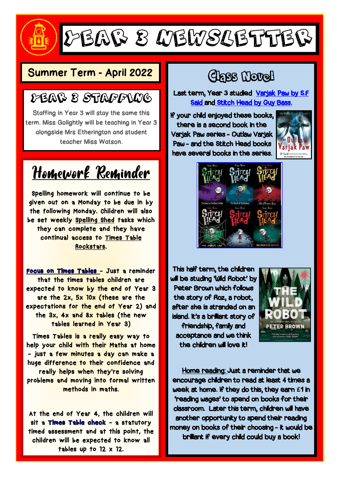### Year 3 Newsletter

### Summer Term - April 2022 Class Novel

### Year 3 Staffing

Staffing in Year 3 will stay the same this term. Miss Golightly will be teaching in Year 3 alongside Mrs Etherington and student teacher Miss Watson.

Homework Reminder

Spelling homework will continue to be given out on a Monday to be due in by the following Monday. Children will also be set weekly Spelling Shed tasks which they can complete and they have continual access to Times Table Rockstars.

Focus on Times Tables - Just a reminder that the times tables children are expected to know by the end of Year 3 are the 2x, 5x 10x (these are the expectations for the end of Year 2) and the 3x, 4x and 8x tables (the new tables learned in Year 3)

Times Tables is a really easy way to help your child with their Maths at home - just a few minutes a day can make a huge difference to their confidence and really helps when they're solving problems and moving into formal written methods in maths.

At the end of Year 4, the children will sit a Times Table check - a statutory timed assessment and at this point, the children will be expected to know all tables up to 12 x 12.

Last term, Year 3 studied Varjak Paw by S.F Said and Stitch Head by Guy Bass.

If your child enjoyed these books, there is a second book in the Varjak Paw series - Outlaw Varjak Paw - and the Stitch Head books have several books in the series.





This half term, the children will be studing 'Wild Robot' by Peter Brown which follows the story of Roz, a robot, after she is stranded on an island. It's a brilliant story of friendship, family and acceptance and we think the children will love it!



Home reading: Just a reminder that we encourage children to read at least 4 times a week at home. If they do this, they earn **£**1 in 'reading wages' to spend on books for their classroom. Later this term, children will have another opportunity to spend their reading money on books of their choosing - it would be brilliant if every child could buy a book!